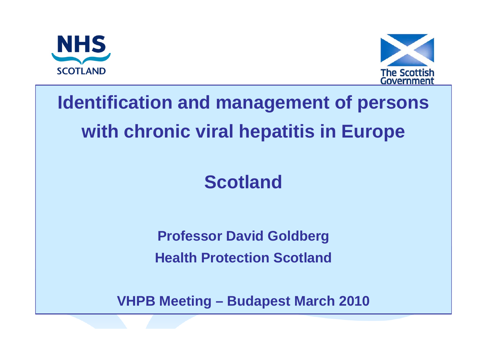



## **Identification and management of persons with chronic viral hepatitis in Europe**

### **Scotland**

**Professor David Goldberg Health Protection Scotland**

**VHPB Meeting – Budapest March 2010**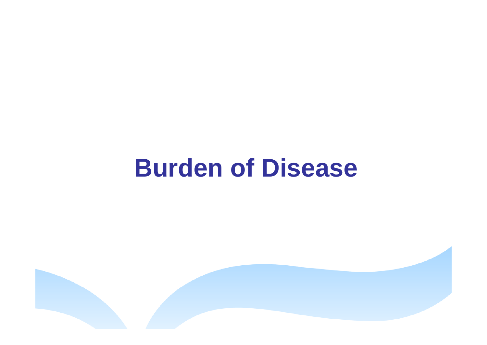# **Burden of Disease**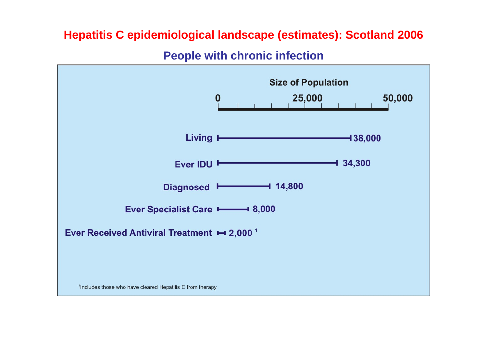#### **Hepatitis C epidemiological landscape (estimates): Scotland 2006**

**People with chronic infection**

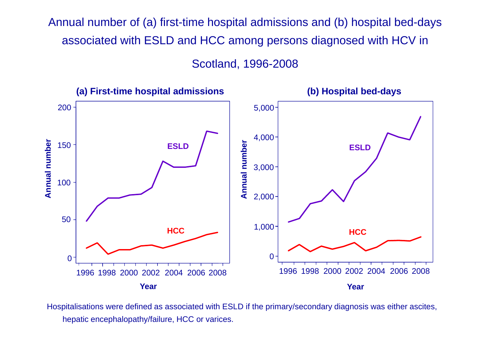Annual number of (a) first-time hospital admissions and (b) hospital bed-days associated with ESLD and HCC among persons diagnosed with HCV in Scotland, 1996-2008



Hospitalisations were defined as associated with ESLD if the primary/secondary diagnosis was either ascites, hepatic encephalopathy/failure, HCC or varices.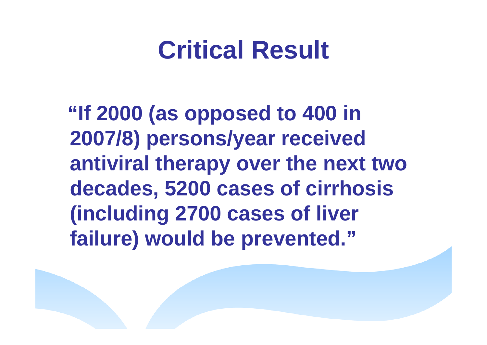# **Critical Result**

**"If 2000 (as opposed to 400 in 2007/8) persons/year received antiviral therapy over the next two decades, 5200 cases of cirrhosis (including 2700 cases of liver failure) would be prevented."**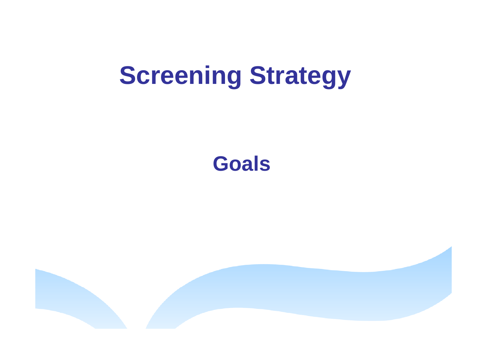# **Screening Strategy**

### **Goals**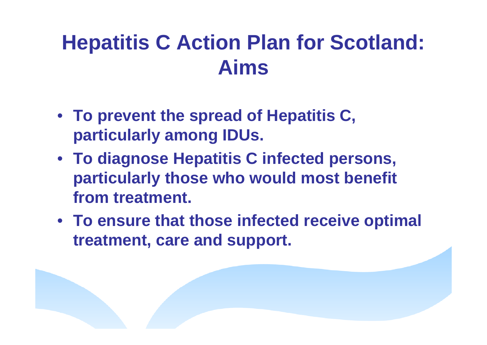## **Hepatitis C Action Plan for Scotland: Aims**

- **To prevent the spread of Hepatitis C, particularly among IDUs.**
- **To diagnose Hepatitis C infected persons, particularly those who would most benefit from treatment.**
- **To ensure that those infected receive optimal treatment, care and support.**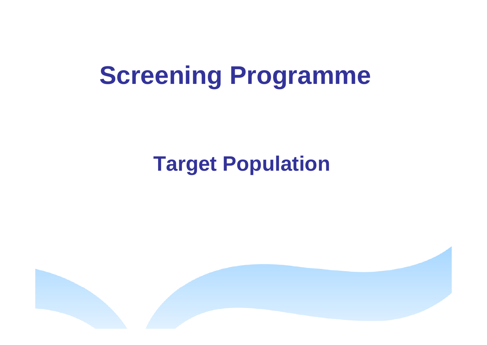# **Screening Programme**

## **Target Population**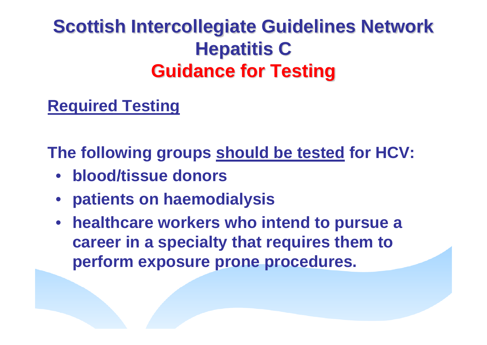### **Scottish Intercollegiate Guidelines Network Hepatitis C Guidance for Testing**

#### **Required Testing**

**The following groups should be tested for HCV:**

- •**blood/tissue donors**
- •**patients on haemodialysis**
- **healthcare workers who intend to pursue a career in a specialty that requires them to perform exposure prone procedures.**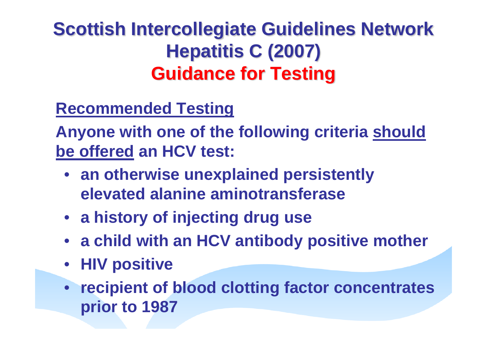### **Scottish Intercollegiate Guidelines Network Hepatitis C (2007) Guidance for Testing**

### **Recommended Testing**

**Anyone with one of the following criteria should be offered an HCV test:**

- **an otherwise unexplained persistently elevated alanine aminotransferase**
- **a history of injecting drug use**
- **a child with an HCV antibody positive mother**
- **HIV positive**
- **recipient of blood clotting factor concentrates prior to 1987**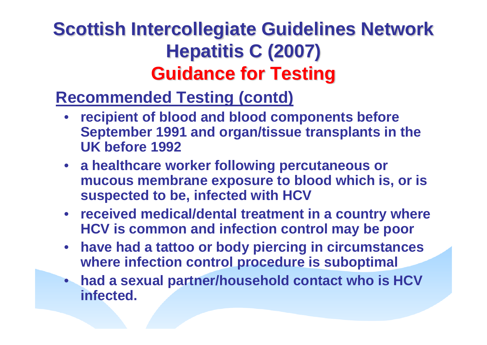### **Scottish Intercollegiate Guidelines Network Hepatitis C (2007) Guidance for Testing**

### **Recommended Testing (contd)**

- **recipient of blood and blood components before September 1991 and organ/tissue transplants in the UK before 1992**
- **a healthcare worker following percutaneous or mucous membrane exposure to blood which is, or is suspected to be, infected with HCV**
- **received medical/dental treatment in a country where HCV is common and infection control may be poor**
- **have had a tattoo or body piercing in circumstances where infection control procedure is suboptimal**
- **had a sexual partner/household contact who is HCV infected.**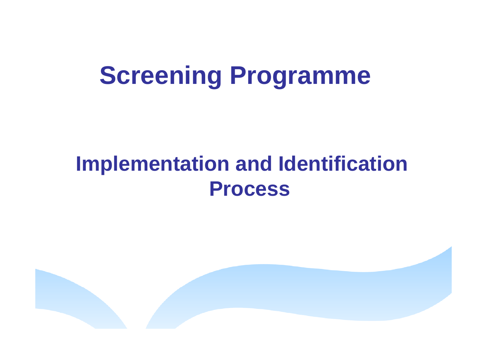# **Screening Programme**

## **Implementation and Identification Process**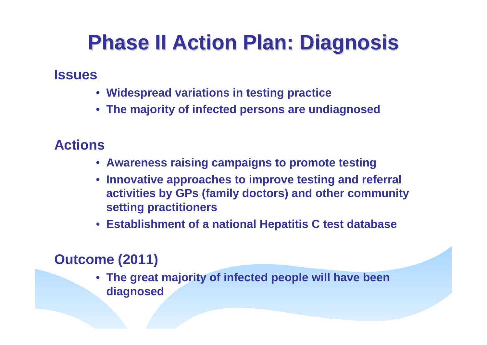## **Phase II Action Plan: Diagnosis**

#### **Issues**

- **Widespread variations in testing practice**
- **The majority of infected persons are undiagnosed**

#### **Actions**

- **Awareness raising campaigns to promote testing**
- **Innovative approaches to improve testing and referral activities by GPs (family doctors) and other community setting practitioners**
- **Establishment of a national Hepatitis C test database**

#### **Outcome (2011)**

• **The great majority of infected people will have been diagnosed**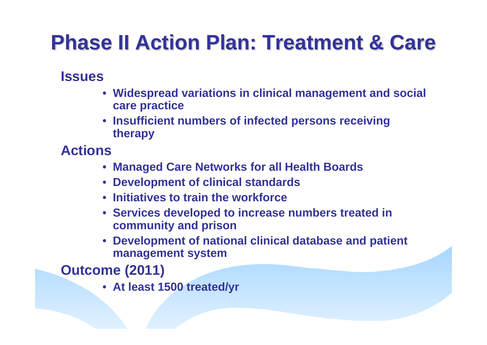## **Phase II Action Plan: Treatment & Care**

#### **Issues**

- **Widespread variations in clinical management and social care practice**
- **Insufficient numbers of infected persons receiving therapy**

#### **Actions**

- **Managed Care Networks for all Health Boards**
- **Development of clinical standards**
- **Initiatives to train the workforce**
- **Services developed to increase numbers treated in community and prison**
- **Development of national clinical database and patient management system**

**Outcome (2011)**

• **At least 1500 treated/yr**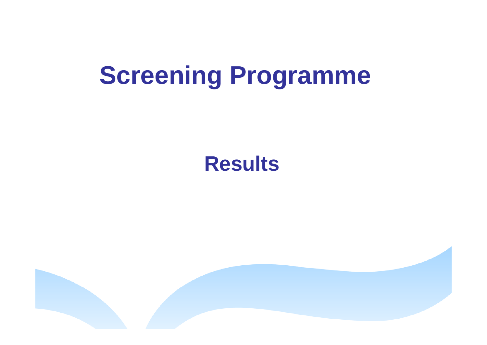# **Screening Programme**

### **Results**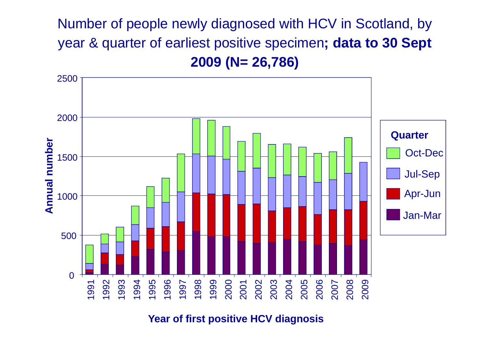Number of people newly diagnosed with HCV in Scotland, by year & quarter of earliest positive specimen**; data to 30 Sept 2009 (N= 26,786)**



**Year of first positive HCV diagnosis**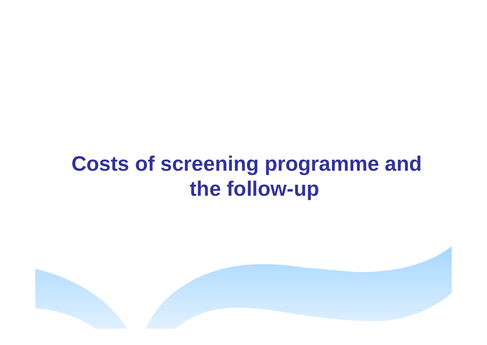## **Costs of screening programme and the follow-up**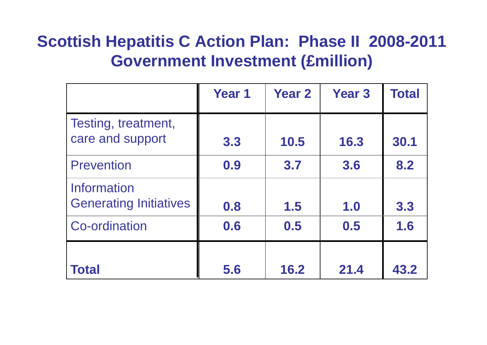### **Scottish Hepatitis C Action Plan: Phase II 2008-2011 Government Investment (£million)**

|                                              | <b>Year 1</b> | <b>Year 2</b> | <b>Year 3</b> | <b>Total</b> |
|----------------------------------------------|---------------|---------------|---------------|--------------|
| Testing, treatment,<br>care and support      | 3.3           | 10.5          | 16.3          | 30.1         |
| <b>Prevention</b>                            | 0.9           | 3.7           | 3.6           | 8.2          |
| Information<br><b>Generating Initiatives</b> | 0.8           | 1.5           | 1.0           | 3.3          |
| <b>Co-ordination</b>                         | 0.6           | 0.5           | 0.5           | 1.6          |
|                                              |               |               |               |              |
| <b>Total</b>                                 | 5.6           | 16.2          | 21.4          | 43.2         |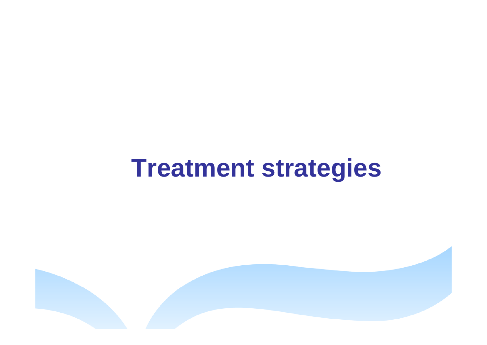# **Treatment strategies**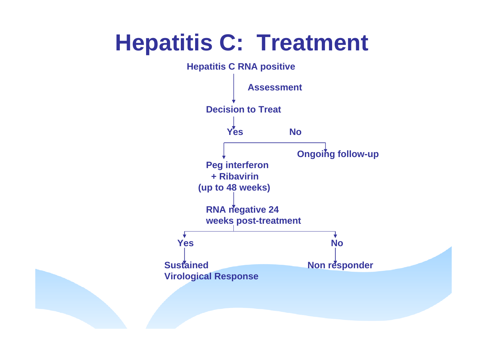## **Hepatitis C: Treatment**

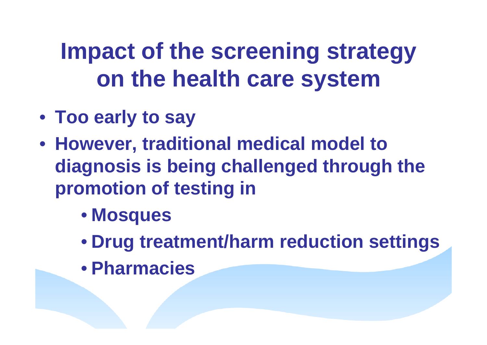# **Impact of the screening strategy on the health care system**

- **Too early to say**
- **However, traditional medical model to diagnosis is being challenged through the promotion of testing in**
	- **Mosques**
	- **Drug treatment/harm reduction settings**
	- **Pharmacies**